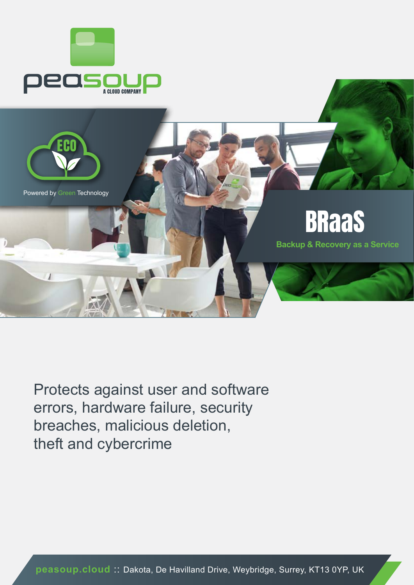



Protects against user and software errors, hardware failure, security breaches, malicious deletion, theft and cybercrime

**peasoup.cloud** :: Dakota, De Havilland Drive, Weybridge, Surrey, KT13 0YP, UK